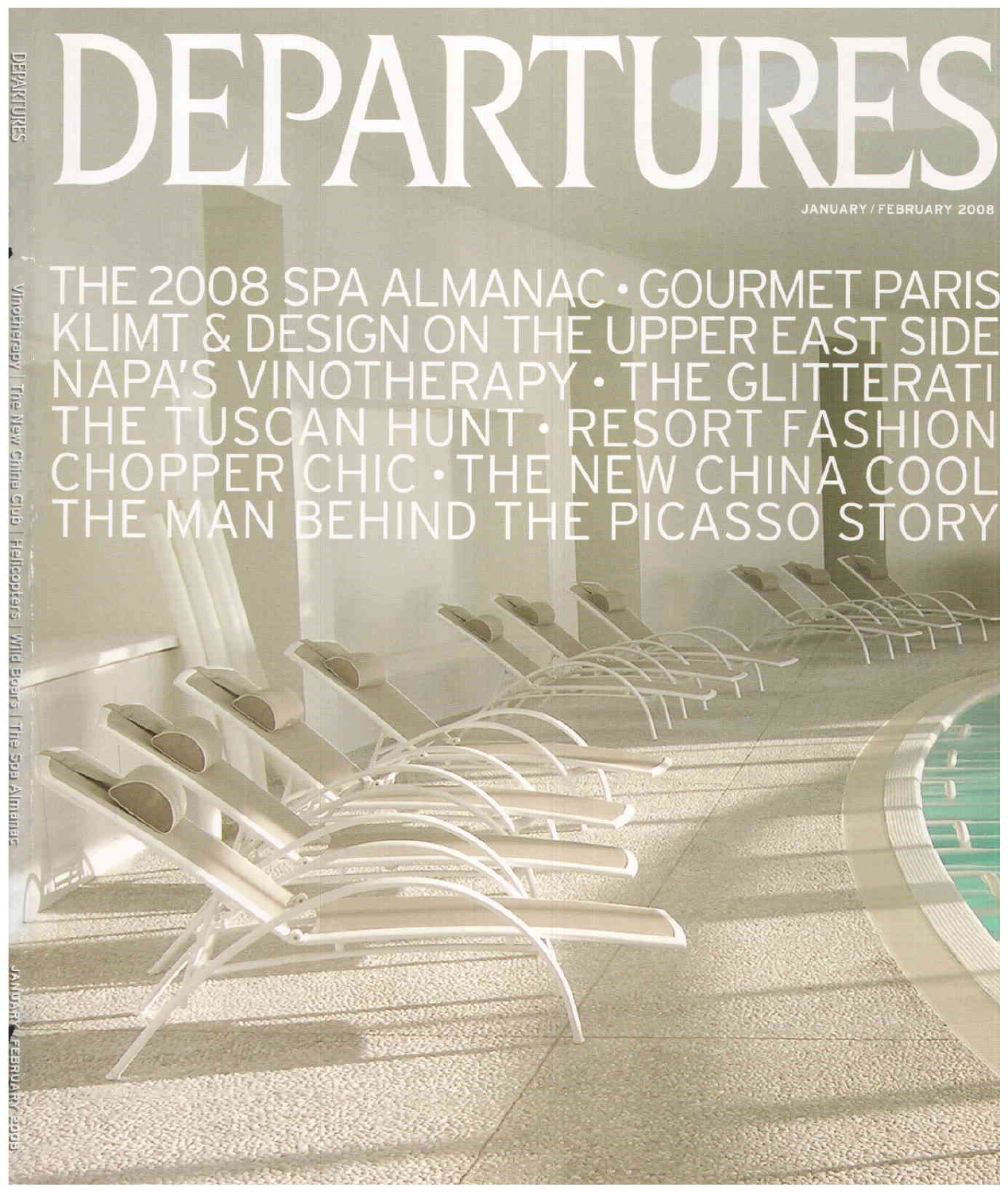## DEPARTURES EPAKTURES

THE 2008 SPA ALMANAC • GOURMET PARIS<br>KLIMT & DESIGN ON THE UPPER EAST SIDE<br>NAPA'S VINOTHERAPY • THE GLITTERATI<br>THE TUSCAN HUNT • RESORT FASHION<br>CHOPPER CHIC • THE NEW CHINA COOL<br>THE MAN BEHIND THE PICASSO STORY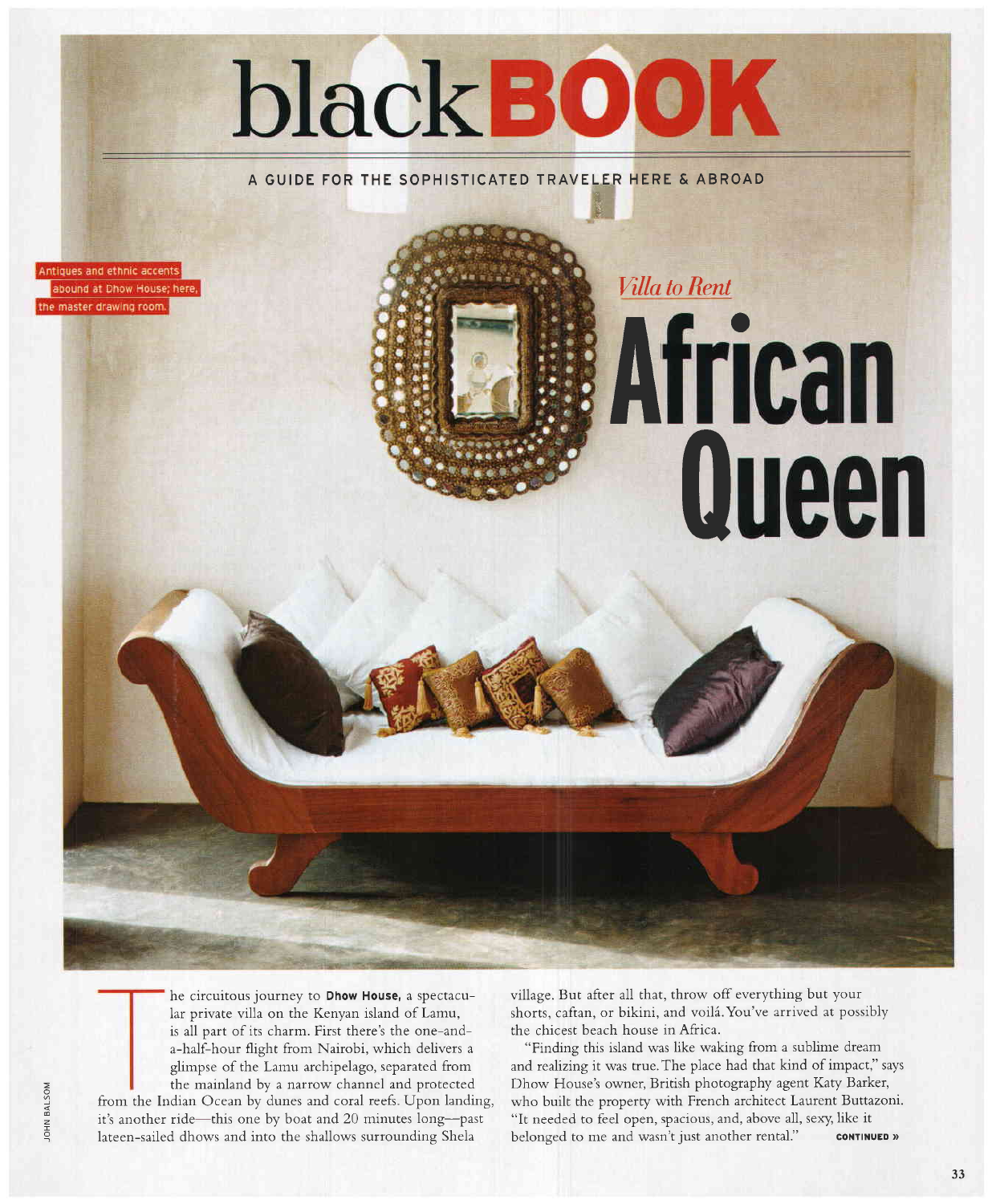# blackBOOK

A GUIDE FOR THE SOPHISTICATED TRAVELER HERE & ABROAD

Antiques and ethnic accents abound at Dhow House; here, the master drawing room.

> he circuitous journey to Dhow House, a spectacular private villa on the Kenyan island of Lamu, is all part of its charm. First there's the one-anda-half-hour flight from Nairobi, which delivers <sup>a</sup> glimpse of the Lamu archipelago, separated from the mainland by a narrow channel and protected from the Indian Ocean by dunes and coral reefs. Upon landing, it's another ride-this one by boat and 20 minutes long-past lateen-sailed dhows and into the shallows surrounding Shela

village. But after all that, throw off everything but your shorts, caftan, or bikini, and voilá. You've arrived at possibly the chicest beach house in Africa.

Villa to Rent

o

**Queen** 

A

I

"Finding this isLand was like waking from a sublime dream and realizing it was true.The place had that kind of impact," says Dhow House's owner, British photography agent Kary Barker, who built the property with French architect Laurent Buttazoni. "It needed to feel open, spacious, and, above all, sexy. like it belonged to me and wasn't just another rental." **CONTINUED** »